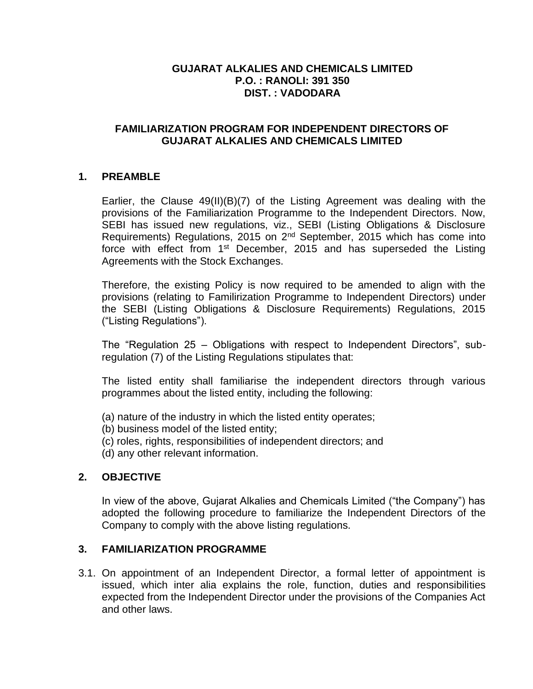## **GUJARAT ALKALIES AND CHEMICALS LIMITED P.O. : RANOLI: 391 350 DIST. : VADODARA**

### **FAMILIARIZATION PROGRAM FOR INDEPENDENT DIRECTORS OF GUJARAT ALKALIES AND CHEMICALS LIMITED**

## **1. PREAMBLE**

Earlier, the Clause 49(II)(B)(7) of the Listing Agreement was dealing with the provisions of the Familiarization Programme to the Independent Directors. Now, SEBI has issued new regulations, viz., SEBI (Listing Obligations & Disclosure Requirements) Regulations, 2015 on 2nd September, 2015 which has come into force with effect from  $1^{st}$  December, 2015 and has superseded the Listing Agreements with the Stock Exchanges.

Therefore, the existing Policy is now required to be amended to align with the provisions (relating to Familirization Programme to Independent Directors) under the SEBI (Listing Obligations & Disclosure Requirements) Regulations, 2015 ("Listing Regulations").

The "Regulation 25 – Obligations with respect to Independent Directors", subregulation (7) of the Listing Regulations stipulates that:

The listed entity shall familiarise the independent directors through various programmes about the listed entity, including the following:

- (a) nature of the industry in which the listed entity operates;
- (b) business model of the listed entity;
- (c) roles, rights, responsibilities of independent directors; and
- (d) any other relevant information.

### **2. OBJECTIVE**

In view of the above, Gujarat Alkalies and Chemicals Limited ("the Company") has adopted the following procedure to familiarize the Independent Directors of the Company to comply with the above listing regulations.

### **3. FAMILIARIZATION PROGRAMME**

3.1. On appointment of an Independent Director, a formal letter of appointment is issued, which inter alia explains the role, function, duties and responsibilities expected from the Independent Director under the provisions of the Companies Act and other laws.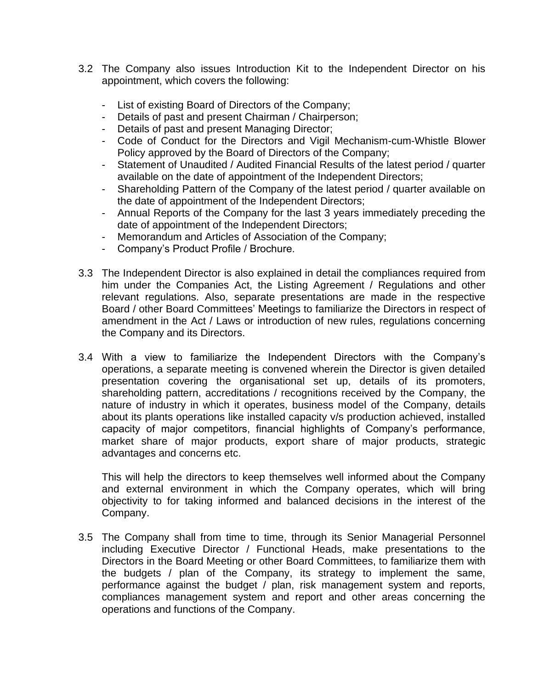- 3.2 The Company also issues Introduction Kit to the Independent Director on his appointment, which covers the following:
	- List of existing Board of Directors of the Company;
	- Details of past and present Chairman / Chairperson;
	- Details of past and present Managing Director;
	- Code of Conduct for the Directors and Vigil Mechanism-cum-Whistle Blower Policy approved by the Board of Directors of the Company;
	- Statement of Unaudited / Audited Financial Results of the latest period / quarter available on the date of appointment of the Independent Directors;
	- Shareholding Pattern of the Company of the latest period / quarter available on the date of appointment of the Independent Directors;
	- Annual Reports of the Company for the last 3 years immediately preceding the date of appointment of the Independent Directors;
	- Memorandum and Articles of Association of the Company;
	- Company's Product Profile / Brochure.
- 3.3 The Independent Director is also explained in detail the compliances required from him under the Companies Act, the Listing Agreement / Regulations and other relevant regulations. Also, separate presentations are made in the respective Board / other Board Committees' Meetings to familiarize the Directors in respect of amendment in the Act / Laws or introduction of new rules, regulations concerning the Company and its Directors.
- 3.4 With a view to familiarize the Independent Directors with the Company's operations, a separate meeting is convened wherein the Director is given detailed presentation covering the organisational set up, details of its promoters, shareholding pattern, accreditations / recognitions received by the Company, the nature of industry in which it operates, business model of the Company, details about its plants operations like installed capacity v/s production achieved, installed capacity of major competitors, financial highlights of Company's performance, market share of major products, export share of major products, strategic advantages and concerns etc.

This will help the directors to keep themselves well informed about the Company and external environment in which the Company operates, which will bring objectivity to for taking informed and balanced decisions in the interest of the Company.

3.5 The Company shall from time to time, through its Senior Managerial Personnel including Executive Director / Functional Heads, make presentations to the Directors in the Board Meeting or other Board Committees, to familiarize them with the budgets / plan of the Company, its strategy to implement the same, performance against the budget / plan, risk management system and reports, compliances management system and report and other areas concerning the operations and functions of the Company.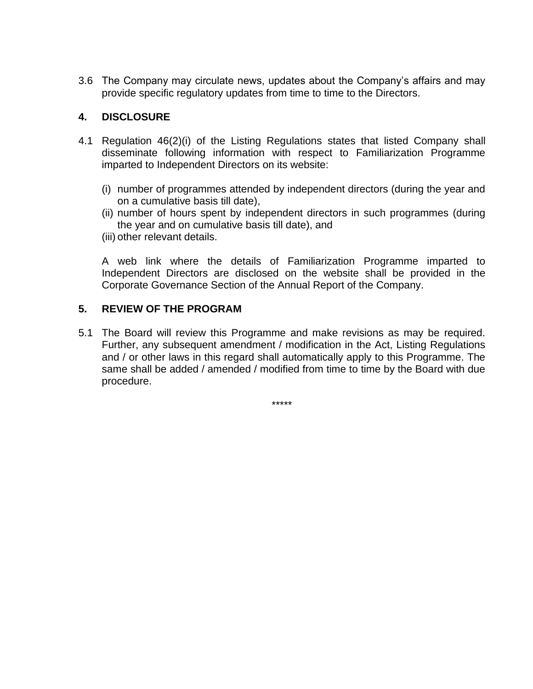3.6 The Company may circulate news, updates about the Company's affairs and may provide specific regulatory updates from time to time to the Directors.

# **4. DISCLOSURE**

- 4.1 Regulation 46(2)(i) of the Listing Regulations states that listed Company shall disseminate following information with respect to Familiarization Programme imparted to Independent Directors on its website:
	- (i) number of programmes attended by independent directors (during the year and on a cumulative basis till date),
	- (ii) number of hours spent by independent directors in such programmes (during the year and on cumulative basis till date), and
	- (iii) other relevant details.

A web link where the details of Familiarization Programme imparted to Independent Directors are disclosed on the website shall be provided in the Corporate Governance Section of the Annual Report of the Company.

## **5. REVIEW OF THE PROGRAM**

5.1 The Board will review this Programme and make revisions as may be required. Further, any subsequent amendment / modification in the Act, Listing Regulations and / or other laws in this regard shall automatically apply to this Programme. The same shall be added / amended / modified from time to time by the Board with due procedure.

\*\*\*\*\*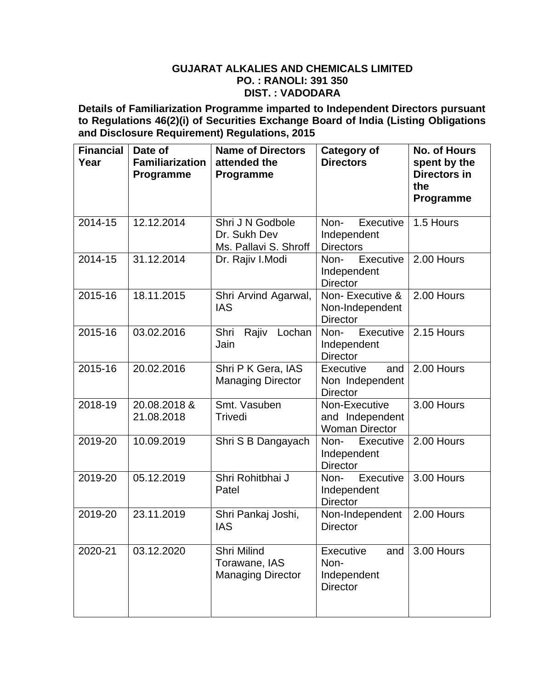#### **GUJARAT ALKALIES AND CHEMICALS LIMITED PO. : RANOLI: 391 350 DIST. : VADODARA**

**Details of Familiarization Programme imparted to Independent Directors pursuant to Regulations 46(2)(i) of Securities Exchange Board of India (Listing Obligations and Disclosure Requirement) Regulations, 2015**

| <b>Financial</b><br>Year | Date of<br><b>Familiarization</b><br>Programme | <b>Name of Directors</b><br>attended the<br>Programme     | <b>Category of</b><br><b>Directors</b>                     | <b>No. of Hours</b><br>spent by the<br>Directors in<br>the<br>Programme |
|--------------------------|------------------------------------------------|-----------------------------------------------------------|------------------------------------------------------------|-------------------------------------------------------------------------|
| 2014-15                  | 12.12.2014                                     | Shri J N Godbole<br>Dr. Sukh Dev<br>Ms. Pallavi S. Shroff | Non-<br>Executive<br>Independent<br><b>Directors</b>       | 1.5 Hours                                                               |
| 2014-15                  | 31.12.2014                                     | Dr. Rajiv I.Modi                                          | Executive<br>Non-<br>Independent<br><b>Director</b>        | 2.00 Hours                                                              |
| 2015-16                  | 18.11.2015                                     | Shri Arvind Agarwal,<br><b>IAS</b>                        | Non-Executive &<br>Non-Independent<br><b>Director</b>      | 2.00 Hours                                                              |
| 2015-16                  | 03.02.2016                                     | Shri<br>Rajiv<br>Lochan<br>Jain                           | Non- Executive<br>Independent<br><b>Director</b>           | 2.15 Hours                                                              |
| 2015-16                  | 20.02.2016                                     | Shri P K Gera, IAS<br><b>Managing Director</b>            | Executive<br>and<br>Non Independent<br><b>Director</b>     | 2.00 Hours                                                              |
| 2018-19                  | 20.08.2018 &<br>21.08.2018                     | Smt. Vasuben<br>Trivedi                                   | Non-Executive<br>and Independent<br><b>Woman Director</b>  | 3.00 Hours                                                              |
| 2019-20                  | 10.09.2019                                     | Shri S B Dangayach                                        | Non-<br>Executive<br>Independent<br><b>Director</b>        | 2.00 Hours                                                              |
| 2019-20                  | 05.12.2019                                     | Shri Rohitbhai J<br>Patel                                 | Executive<br>Non-<br>Independent<br><b>Director</b>        | 3.00 Hours                                                              |
| 2019-20                  | 23.11.2019                                     | Shri Pankaj Joshi,<br><b>IAS</b>                          | Non-Independent<br><b>Director</b>                         | 2.00 Hours                                                              |
| 2020-21                  | 03.12.2020                                     | Shri Milind<br>Torawane, IAS<br><b>Managing Director</b>  | Executive<br>and<br>Non-<br>Independent<br><b>Director</b> | 3.00 Hours                                                              |